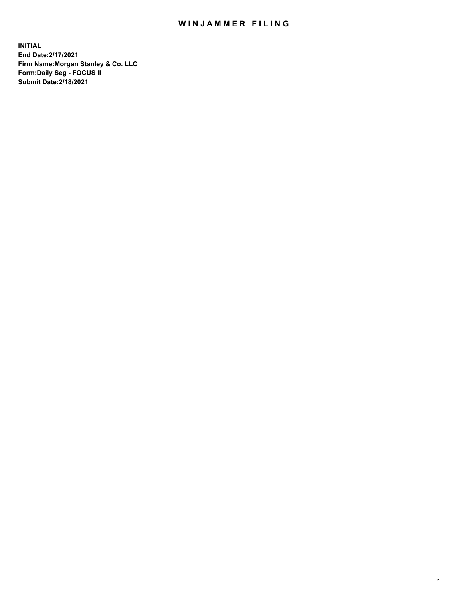## WIN JAMMER FILING

**INITIAL End Date:2/17/2021 Firm Name:Morgan Stanley & Co. LLC Form:Daily Seg - FOCUS II Submit Date:2/18/2021**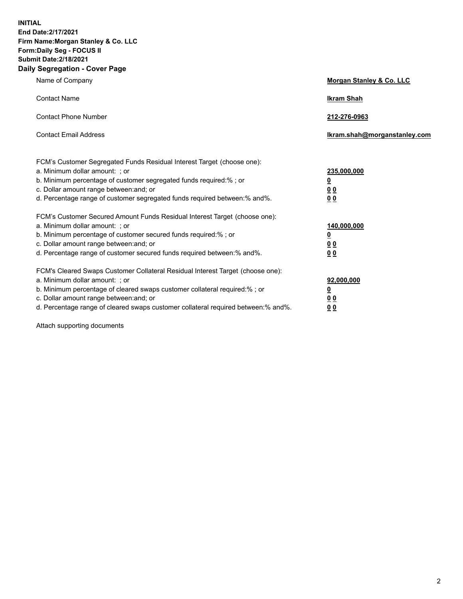**INITIAL End Date:2/17/2021 Firm Name:Morgan Stanley & Co. LLC Form:Daily Seg - FOCUS II Submit Date:2/18/2021 Daily Segregation - Cover Page**

| Name of Company                                                                                                                                                                                                                                                                                                                | Morgan Stanley & Co. LLC                                    |
|--------------------------------------------------------------------------------------------------------------------------------------------------------------------------------------------------------------------------------------------------------------------------------------------------------------------------------|-------------------------------------------------------------|
| <b>Contact Name</b>                                                                                                                                                                                                                                                                                                            | <b>Ikram Shah</b>                                           |
| <b>Contact Phone Number</b>                                                                                                                                                                                                                                                                                                    | 212-276-0963                                                |
| <b>Contact Email Address</b>                                                                                                                                                                                                                                                                                                   | Ikram.shah@morganstanley.com                                |
| FCM's Customer Segregated Funds Residual Interest Target (choose one):<br>a. Minimum dollar amount: ; or<br>b. Minimum percentage of customer segregated funds required:% ; or<br>c. Dollar amount range between: and; or<br>d. Percentage range of customer segregated funds required between: % and %.                       | 235,000,000<br><u>0</u><br>00<br>0 <sub>0</sub>             |
| FCM's Customer Secured Amount Funds Residual Interest Target (choose one):<br>a. Minimum dollar amount: ; or<br>b. Minimum percentage of customer secured funds required:%; or<br>c. Dollar amount range between: and; or<br>d. Percentage range of customer secured funds required between:% and%.                            | 140,000,000<br><u>0</u><br>0 <sub>0</sub><br>0 <sub>0</sub> |
| FCM's Cleared Swaps Customer Collateral Residual Interest Target (choose one):<br>a. Minimum dollar amount: ; or<br>b. Minimum percentage of cleared swaps customer collateral required:% ; or<br>c. Dollar amount range between: and; or<br>d. Percentage range of cleared swaps customer collateral required between:% and%. | 92,000,000<br><u>0</u><br>0 Q<br>0 <sub>0</sub>             |

Attach supporting documents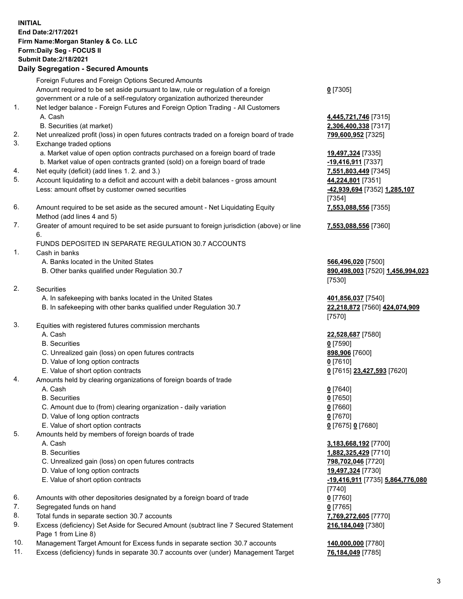## **INITIAL End Date:2/17/2021 Firm Name:Morgan Stanley & Co. LLC Form:Daily Seg - FOCUS II Submit Date:2/18/2021**

## **Daily Segregation - Secured Amounts**

Foreign Futures and Foreign Options Secured Amounts Amount required to be set aside pursuant to law, rule or regulation of a foreign government or a rule of a self-regulatory organization authorized thereunder 1. Net ledger balance - Foreign Futures and Foreign Option Trading - All Customers

- 
- B. Securities (at market) **2,306,400,338** [7317]
- 2. Net unrealized profit (loss) in open futures contracts traded on a foreign board of trade **799,600,952** [7325]
- 3. Exchange traded options
	- a. Market value of open option contracts purchased on a foreign board of trade **19,497,324** [7335]
	- b. Market value of open contracts granted (sold) on a foreign board of trade **-19,416,911** [7337]
- 4. Net equity (deficit) (add lines 1. 2. and 3.) **7,551,803,449** [7345]
- 5. Account liquidating to a deficit and account with a debit balances gross amount **44,224,801** [7351] Less: amount offset by customer owned securities **-42,939,694** [7352] **1,285,107**
- 6. Amount required to be set aside as the secured amount Net Liquidating Equity Method (add lines 4 and 5)
- 7. Greater of amount required to be set aside pursuant to foreign jurisdiction (above) or line 6.

## FUNDS DEPOSITED IN SEPARATE REGULATION 30.7 ACCOUNTS

- 1. Cash in banks
	- A. Banks located in the United States **566,496,020** [7500]
	- B. Other banks qualified under Regulation 30.7 **890,498,003** [7520] **1,456,994,023**
- 2. Securities
	- A. In safekeeping with banks located in the United States **401,856,037** [7540]
	- B. In safekeeping with other banks qualified under Regulation 30.7 **22,218,872** [7560] **424,074,909**
- 3. Equities with registered futures commission merchants
	-
	- B. Securities **0** [7590]
	- C. Unrealized gain (loss) on open futures contracts **898,906** [7600]
	- D. Value of long option contracts **0** [7610]
	- E. Value of short option contracts **0** [7615] **23,427,593** [7620]
- 4. Amounts held by clearing organizations of foreign boards of trade
	-
	- B. Securities **0** [7650]
	- C. Amount due to (from) clearing organization daily variation **0** [7660]
	- D. Value of long option contracts **0** [7670]
	- E. Value of short option contracts **0** [7675] **0** [7680]
- 5. Amounts held by members of foreign boards of trade
	-
	-
	- C. Unrealized gain (loss) on open futures contracts **798,702,046** [7720]
	- D. Value of long option contracts **19,497,324** [7730]
	- E. Value of short option contracts **-19,416,911** [7735] **5,864,776,080**
- 6. Amounts with other depositories designated by a foreign board of trade **0** [7760]
- 7. Segregated funds on hand **0** [7765]
- 8. Total funds in separate section 30.7 accounts **7,769,272,605** [7770]
- 9. Excess (deficiency) Set Aside for Secured Amount (subtract line 7 Secured Statement Page 1 from Line 8)
- 10. Management Target Amount for Excess funds in separate section 30.7 accounts **140,000,000** [7780]
- 11. Excess (deficiency) funds in separate 30.7 accounts over (under) Management Target **76,184,049** [7785]

**0** [7305]

A. Cash **4,445,721,746** [7315]

[7354] **7,553,088,556** [7355]

**7,553,088,556** [7360]

[7530]

[7570]

A. Cash **22,528,687** [7580]

A. Cash **0** [7640]

 A. Cash **3,183,668,192** [7700] B. Securities **1,882,325,429** [7710] [7740] **216,184,049** [7380]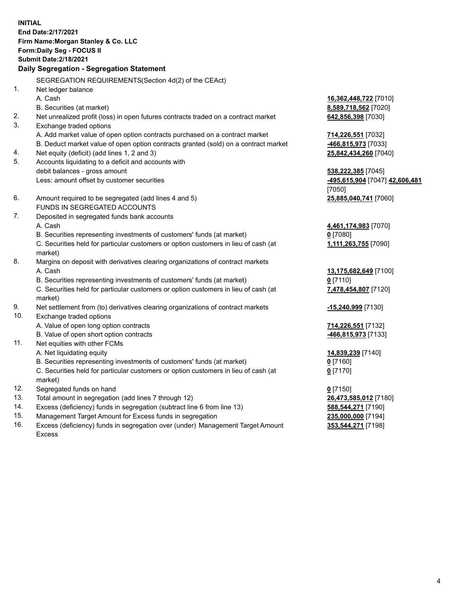**INITIAL End Date:2/17/2021 Firm Name:Morgan Stanley & Co. LLC Form:Daily Seg - FOCUS II Submit Date:2/18/2021 Daily Segregation - Segregation Statement** SEGREGATION REQUIREMENTS(Section 4d(2) of the CEAct) 1. Net ledger balance A. Cash **16,362,448,722** [7010] B. Securities (at market) **8,589,718,562** [7020] 2. Net unrealized profit (loss) in open futures contracts traded on a contract market **642,856,398** [7030] 3. Exchange traded options A. Add market value of open option contracts purchased on a contract market **714,226,551** [7032] B. Deduct market value of open option contracts granted (sold) on a contract market **-466,815,973** [7033] 4. Net equity (deficit) (add lines 1, 2 and 3) **25,842,434,260** [7040] 5. Accounts liquidating to a deficit and accounts with debit balances - gross amount **538,222,385** [7045] Less: amount offset by customer securities **-495,615,904** [7047] **42,606,481** [7050] 6. Amount required to be segregated (add lines 4 and 5) **25,885,040,741** [7060] FUNDS IN SEGREGATED ACCOUNTS 7. Deposited in segregated funds bank accounts A. Cash **4,461,174,983** [7070] B. Securities representing investments of customers' funds (at market) **0** [7080] C. Securities held for particular customers or option customers in lieu of cash (at market) **1,111,263,755** [7090] 8. Margins on deposit with derivatives clearing organizations of contract markets A. Cash **13,175,682,649** [7100] B. Securities representing investments of customers' funds (at market) **0** [7110] C. Securities held for particular customers or option customers in lieu of cash (at market) **7,478,454,807** [7120] 9. Net settlement from (to) derivatives clearing organizations of contract markets **-15,240,999** [7130] 10. Exchange traded options A. Value of open long option contracts **714,226,551** [7132] B. Value of open short option contracts **-466,815,973** [7133] 11. Net equities with other FCMs A. Net liquidating equity **14,839,239** [7140] B. Securities representing investments of customers' funds (at market) **0** [7160] C. Securities held for particular customers or option customers in lieu of cash (at market) **0** [7170] 12. Segregated funds on hand **0** [7150] 13. Total amount in segregation (add lines 7 through 12) **26,473,585,012** [7180] 14. Excess (deficiency) funds in segregation (subtract line 6 from line 13) **588,544,271** [7190]

- 15. Management Target Amount for Excess funds in segregation **235,000,000** [7194]
- 16. Excess (deficiency) funds in segregation over (under) Management Target Amount Excess

**353,544,271** [7198]